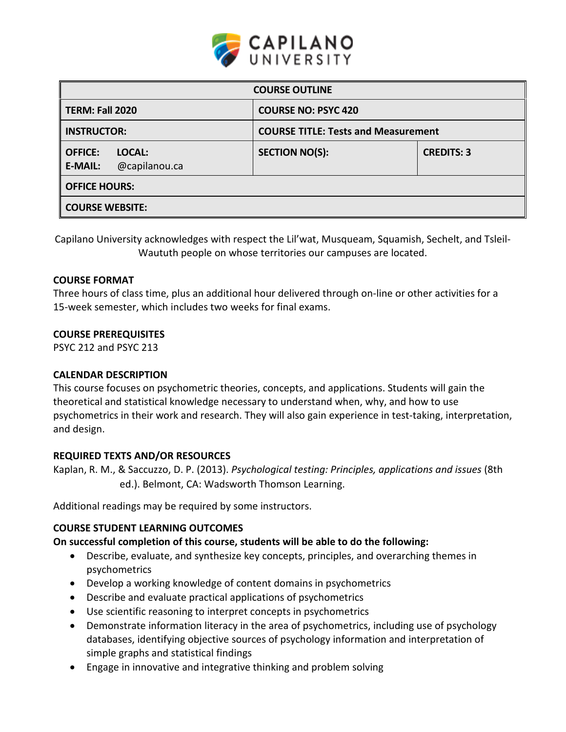

| <b>COURSE OUTLINE</b>                                       |                                            |                   |  |  |  |
|-------------------------------------------------------------|--------------------------------------------|-------------------|--|--|--|
| <b>TERM: Fall 2020</b>                                      | <b>COURSE NO: PSYC 420</b>                 |                   |  |  |  |
| <b>INSTRUCTOR:</b>                                          | <b>COURSE TITLE: Tests and Measurement</b> |                   |  |  |  |
| <b>OFFICE:</b><br>LOCAL:<br>@capilanou.ca<br><b>E-MAIL:</b> | <b>SECTION NO(S):</b>                      | <b>CREDITS: 3</b> |  |  |  |
| <b>OFFICE HOURS:</b>                                        |                                            |                   |  |  |  |
| <b>COURSE WEBSITE:</b>                                      |                                            |                   |  |  |  |

Capilano University acknowledges with respect the Lil'wat, Musqueam, Squamish, Sechelt, and Tsleil-Waututh people on whose territories our campuses are located.

#### **COURSE FORMAT**

Three hours of class time, plus an additional hour delivered through on-line or other activities for a 15-week semester, which includes two weeks for final exams.

#### **COURSE PREREQUISITES**

PSYC 212 and PSYC 213

#### **CALENDAR DESCRIPTION**

This course focuses on psychometric theories, concepts, and applications. Students will gain the theoretical and statistical knowledge necessary to understand when, why, and how to use psychometrics in their work and research. They will also gain experience in test-taking, interpretation, and design.

#### **REQUIRED TEXTS AND/OR RESOURCES**

Kaplan, R. M., & Saccuzzo, D. P. (2013). *Psychological testing: Principles, applications and issues* (8th ed.). Belmont, CA: Wadsworth Thomson Learning.

Additional readings may be required by some instructors.

## **COURSE STUDENT LEARNING OUTCOMES**

## **On successful completion of this course, students will be able to do the following:**

- Describe, evaluate, and synthesize key concepts, principles, and overarching themes in psychometrics
- Develop a working knowledge of content domains in psychometrics
- Describe and evaluate practical applications of psychometrics
- Use scientific reasoning to interpret concepts in psychometrics
- Demonstrate information literacy in the area of psychometrics, including use of psychology databases, identifying objective sources of psychology information and interpretation of simple graphs and statistical findings
- Engage in innovative and integrative thinking and problem solving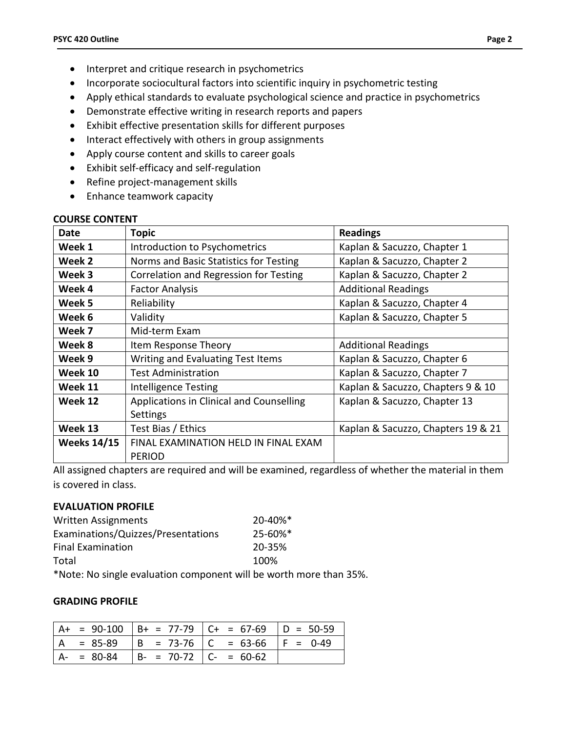- Interpret and critique research in psychometrics
- Incorporate sociocultural factors into scientific inquiry in psychometric testing
- Apply ethical standards to evaluate psychological science and practice in psychometrics
- Demonstrate effective writing in research reports and papers
- Exhibit effective presentation skills for different purposes
- Interact effectively with others in group assignments
- Apply course content and skills to career goals
- Exhibit self-efficacy and self-regulation
- Refine project-management skills
- Enhance teamwork capacity

#### **COURSE CONTENT**

| Date                                             | <b>Topic</b>                             | <b>Readings</b>                    |  |  |
|--------------------------------------------------|------------------------------------------|------------------------------------|--|--|
| Week 1                                           | Introduction to Psychometrics            | Kaplan & Sacuzzo, Chapter 1        |  |  |
| Week 2<br>Norms and Basic Statistics for Testing |                                          | Kaplan & Sacuzzo, Chapter 2        |  |  |
| Correlation and Regression for Testing<br>Week 3 |                                          | Kaplan & Sacuzzo, Chapter 2        |  |  |
| Week 4<br><b>Factor Analysis</b>                 |                                          | <b>Additional Readings</b>         |  |  |
| Week 5                                           | Reliability                              | Kaplan & Sacuzzo, Chapter 4        |  |  |
| Week 6                                           | Validity                                 | Kaplan & Sacuzzo, Chapter 5        |  |  |
| Week 7                                           | Mid-term Exam                            |                                    |  |  |
| Week 8<br>Item Response Theory                   |                                          | <b>Additional Readings</b>         |  |  |
| Week 9<br>Writing and Evaluating Test Items      |                                          | Kaplan & Sacuzzo, Chapter 6        |  |  |
| Week 10                                          | <b>Test Administration</b>               | Kaplan & Sacuzzo, Chapter 7        |  |  |
| Week 11                                          | <b>Intelligence Testing</b>              | Kaplan & Sacuzzo, Chapters 9 & 10  |  |  |
| Week 12                                          | Applications in Clinical and Counselling | Kaplan & Sacuzzo, Chapter 13       |  |  |
|                                                  | Settings                                 |                                    |  |  |
| Week 13                                          | Test Bias / Ethics                       | Kaplan & Sacuzzo, Chapters 19 & 21 |  |  |
| <b>Weeks 14/15</b>                               | FINAL EXAMINATION HELD IN FINAL EXAM     |                                    |  |  |
|                                                  | <b>PERIOD</b>                            |                                    |  |  |

All assigned chapters are required and will be examined, regardless of whether the material in them is covered in class.

#### **EVALUATION PROFILE**

| <b>Written Assignments</b>         |         | $20 - 40\%$ <sup>*</sup> |  |
|------------------------------------|---------|--------------------------|--|
| Examinations/Quizzes/Presentations | 25-60%* |                          |  |
| <b>Final Examination</b>           | 20-35%  |                          |  |
| Total                              | 100%    |                          |  |
| $\mathbf{a}$                       |         |                          |  |

\*Note: No single evaluation component will be worth more than 35%.

## **GRADING PROFILE**

|               |                               | $A+ = 90-100$ $B+ = 77-79$ $C+ = 67-69$ $D = 50-59$ |  |
|---------------|-------------------------------|-----------------------------------------------------|--|
| $= 85-89$     |                               | $  B = 73-76   C = 63-66   F = 0-49$                |  |
| $A - = 80-84$ | $  B - 70 - 72   C - 60 - 62$ |                                                     |  |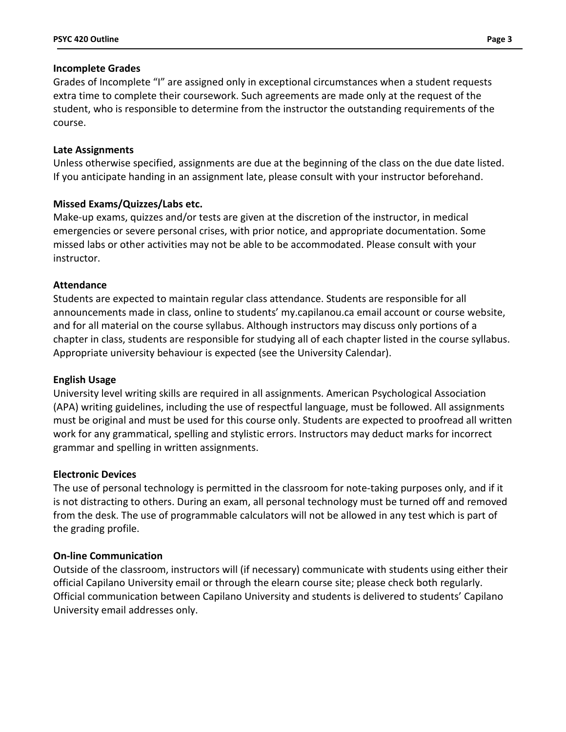### **Incomplete Grades**

Grades of Incomplete "I" are assigned only in exceptional circumstances when a student requests extra time to complete their coursework. Such agreements are made only at the request of the student, who is responsible to determine from the instructor the outstanding requirements of the course.

## **Late Assignments**

Unless otherwise specified, assignments are due at the beginning of the class on the due date listed. If you anticipate handing in an assignment late, please consult with your instructor beforehand.

# **Missed Exams/Quizzes/Labs etc.**

Make-up exams, quizzes and/or tests are given at the discretion of the instructor, in medical emergencies or severe personal crises, with prior notice, and appropriate documentation. Some missed labs or other activities may not be able to be accommodated. Please consult with your instructor.

## **Attendance**

Students are expected to maintain regular class attendance. Students are responsible for all announcements made in class, online to students' my.capilanou.ca email account or course website, and for all material on the course syllabus. Although instructors may discuss only portions of a chapter in class, students are responsible for studying all of each chapter listed in the course syllabus. Appropriate university behaviour is expected (see the University Calendar).

## **English Usage**

University level writing skills are required in all assignments. American Psychological Association (APA) writing guidelines, including the use of respectful language, must be followed. All assignments must be original and must be used for this course only. Students are expected to proofread all written work for any grammatical, spelling and stylistic errors. Instructors may deduct marks for incorrect grammar and spelling in written assignments.

## **Electronic Devices**

The use of personal technology is permitted in the classroom for note-taking purposes only, and if it is not distracting to others. During an exam, all personal technology must be turned off and removed from the desk. The use of programmable calculators will not be allowed in any test which is part of the grading profile.

## **On-line Communication**

Outside of the classroom, instructors will (if necessary) communicate with students using either their official Capilano University email or through the elearn course site; please check both regularly. Official communication between Capilano University and students is delivered to students' Capilano University email addresses only.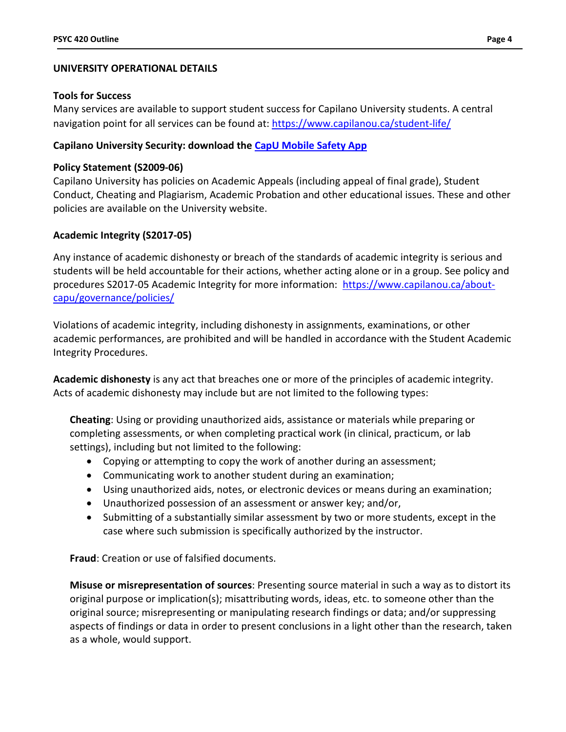## **UNIVERSITY OPERATIONAL DETAILS**

#### **Tools for Success**

Many services are available to support student success for Capilano University students. A central navigation point for all services can be found at:<https://www.capilanou.ca/student-life/>

## **Capilano University Security: download the [CapU Mobile Safety App](https://www.capilanou.ca/student-life/support--wellness/safety--security/capu-safe-app/)**

## **Policy Statement (S2009-06)**

Capilano University has policies on Academic Appeals (including appeal of final grade), Student Conduct, Cheating and Plagiarism, Academic Probation and other educational issues. These and other policies are available on the University website.

## **Academic Integrity (S2017-05)**

Any instance of academic dishonesty or breach of the standards of academic integrity is serious and students will be held accountable for their actions, whether acting alone or in a group. See policy and procedures S2017-05 Academic Integrity for more information: [https://www.capilanou.ca/about](https://www.capilanou.ca/about-capu/governance/policies/)[capu/governance/policies/](https://www.capilanou.ca/about-capu/governance/policies/)

Violations of academic integrity, including dishonesty in assignments, examinations, or other academic performances, are prohibited and will be handled in accordance with the Student Academic Integrity Procedures.

**Academic dishonesty** is any act that breaches one or more of the principles of academic integrity. Acts of academic dishonesty may include but are not limited to the following types:

**Cheating**: Using or providing unauthorized aids, assistance or materials while preparing or completing assessments, or when completing practical work (in clinical, practicum, or lab settings), including but not limited to the following:

- Copying or attempting to copy the work of another during an assessment;
- Communicating work to another student during an examination;
- Using unauthorized aids, notes, or electronic devices or means during an examination;
- Unauthorized possession of an assessment or answer key; and/or,
- Submitting of a substantially similar assessment by two or more students, except in the case where such submission is specifically authorized by the instructor.

**Fraud**: Creation or use of falsified documents.

**Misuse or misrepresentation of sources**: Presenting source material in such a way as to distort its original purpose or implication(s); misattributing words, ideas, etc. to someone other than the original source; misrepresenting or manipulating research findings or data; and/or suppressing aspects of findings or data in order to present conclusions in a light other than the research, taken as a whole, would support.